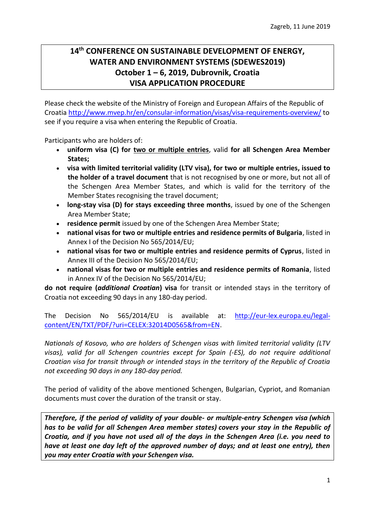## **14th CONFERENCE ON SUSTAINABLE DEVELOPMENT OF ENERGY, WATER AND ENVIRONMENT SYSTEMS (SDEWES2019) October 1 – 6, 2019, Dubrovnik, Croatia VISA APPLICATION PROCEDURE**

Please check the website of the Ministry of Foreign and European Affairs of the Republic of Croati[a http://www.mvep.hr/en/consular-information/visas/visa-requirements-overview/](http://www.mvep.hr/en/consular-information/visas/visa-requirements-overview/) to see if you require a visa when entering the Republic of Croatia.

Participants who are holders of:

- **uniform visa (C) for two or multiple entries**, valid **for all Schengen Area Member States;**
- **visa with limited territorial validity (LTV visa), for two or multiple entries, issued to the holder of a travel document** that is not recognised by one or more, but not all of the Schengen Area Member States, and which is valid for the territory of the Member States recognising the travel document;
- **long-stay visa (D) for stays exceeding three months**, issued by one of the Schengen Area Member State;
- **residence permit** issued by one of the Schengen Area Member State;
- **national visas for two or multiple entries and residence permits of Bulgaria**, listed in Annex I of the Decision [No 565/2014/EU;](http://www.mvep.hr/files/file/2014/140724-5652014eu-en.pdf)
- **national visas for two or multiple entries and residence permits of Cyprus**, listed in Annex III of the Decision [No 565/2014/EU;](http://www.mvep.hr/files/file/2014/140724-5652014eu-en.pdf)
- **national visas for two or multiple entries and residence permits of Romania**, listed in Annex IV of the Decision [No 565/2014/EU;](http://www.mvep.hr/files/file/2014/140724-5652014eu-en.pdf)

**do not require (***additional Croatian***) visa** for transit or intended stays in the territory of Croatia not exceeding 90 days in any 180-day period.

The Decision No 565/2014/EU is available at: [http://eur-lex.europa.eu/legal](http://eur-lex.europa.eu/legal-content/EN/TXT/PDF/?uri=CELEX:32014D0565&from=EN)[content/EN/TXT/PDF/?uri=CELEX:32014D0565&from=EN.](http://eur-lex.europa.eu/legal-content/EN/TXT/PDF/?uri=CELEX:32014D0565&from=EN)

*Nationals of Kosovo, who are holders of Schengen visas with limited territorial validity (LTV visas), valid for all Schengen countries except for Spain (-ES), do not require additional Croatian visa for transit through or intended stays in the territory of the Republic of Croatia not exceeding 90 days in any 180-day period.*

The period of validity of the above mentioned Schengen, Bulgarian, Cypriot, and Romanian documents must cover the duration of the transit or stay.

*Therefore, if the period of validity of your double- or multiple-entry Schengen visa (which has to be valid for all Schengen Area member states) covers your stay in the Republic of Croatia, and if you have not used all of the days in the Schengen Area (i.e. you need to have at least one day left of the approved number of days; and at least one entry), then you may enter Croatia with your Schengen visa.*